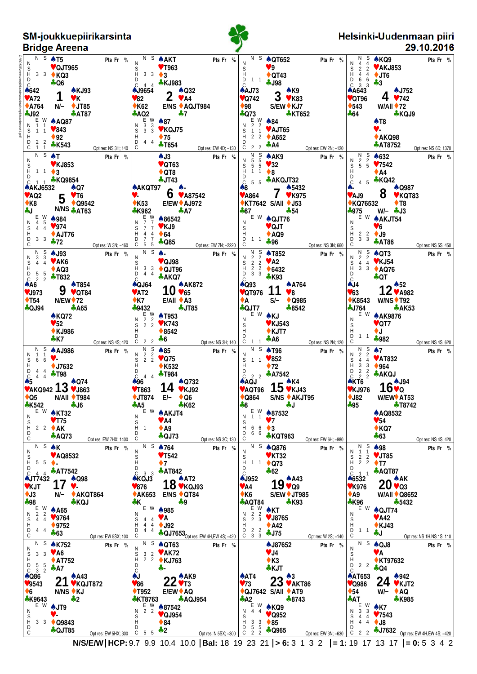| <b>SM-joukkuepiirikarsinta</b><br><b>Bridge Areena</b>                                                                                                                                                                                                                                                                                                                                                                                                                                                        |                                                                                                                                                                                                                                                                                                                                                                                                                                                                                                                                            |                                                                                                                                                                                                                                                                                                                                                                                                                                                                                                                                  | Helsinki-Uudenmaan piiri<br>29.10.2016                                                                                                                                                                                                                                                                                                                                                                                                                                     |
|---------------------------------------------------------------------------------------------------------------------------------------------------------------------------------------------------------------------------------------------------------------------------------------------------------------------------------------------------------------------------------------------------------------------------------------------------------------------------------------------------------------|--------------------------------------------------------------------------------------------------------------------------------------------------------------------------------------------------------------------------------------------------------------------------------------------------------------------------------------------------------------------------------------------------------------------------------------------------------------------------------------------------------------------------------------------|----------------------------------------------------------------------------------------------------------------------------------------------------------------------------------------------------------------------------------------------------------------------------------------------------------------------------------------------------------------------------------------------------------------------------------------------------------------------------------------------------------------------------------|----------------------------------------------------------------------------------------------------------------------------------------------------------------------------------------------------------------------------------------------------------------------------------------------------------------------------------------------------------------------------------------------------------------------------------------------------------------------------|
| $N S$ $\uparrow$ T5<br><b>TROSIC</b><br>Pts Fr %<br>NSHDC<br>♥ QJT965<br>3 3 ★ KQ3<br><b>4 Q6</b><br>♠642<br><b>A KJ93</b><br>$\blacktriangledown$ A72<br>VK.<br>$*$ A764<br>N/- ♦ JT85<br>$-192$<br>$\clubsuit$ AT87<br>E W<br><b>A AQ87</b><br>N<br>$\blacktriangledown 843$<br>S<br>D<br>D<br>$1 \quad 1$<br>$\blacklozenge$ 92<br>2 <sub>2</sub><br>*K543<br>C<br>$\overline{1}$<br>Opt res: NS 3H; 140                                                                                                   | N S<br><b>A</b> AKT<br>Pts Fr %<br>N<br>♥ T963<br>$_{\rm H}^{\rm S}$<br>$3 \quad 3 \quad \clubsuit \quad 3$<br>D<br><b>*KJ983</b><br>44<br>C<br><b>AJ9654</b><br><b>A Q32</b><br>$\mathbf{Z}$<br>V82<br>$\vee$ A4<br>$\triangle$ K62<br>E/NS ♦ AQJT984<br>$+AQ2$<br>$+7$<br>$\begin{array}{c} 11 & 11 & 11 \\ 3 & 3 & 3 \\ 3 & 3 & 3 \end{array}$<br>$\clubsuit 87$<br>N<br>♥ KQJ75<br>S<br>$\overline{D}$<br>$\blacklozenge$ 75<br>44<br><b>*T654</b><br>C<br>Opt res: EW 4D; -130                                                        | N S<br><b>A QT652</b><br>Pts Fr %<br>N<br>9 <sup>°</sup><br>S<br>H<br>$\triangle$ QT43<br>D<br>$1\quad1$<br><b>4J98</b><br>C<br><b>AAJ73</b><br>A K9<br>$3 \sqrt[4]{1}$ K83<br>$\sqrt{Q}$ 742<br>$\blacklozenge 98$<br>S/EW ♦ KJ7<br>$+073$<br><b>*KT652</b><br>$E$ W<br>2 2<br>1 1<br>$*84$<br>Ν<br>♥ AJT65<br>S<br>H<br>$2 \quad 2$<br>$\triangle$ A652<br>D<br><u>ቆ</u> A4<br>2 <sub>2</sub><br>C<br>Opt res: EW 2N; -120                                                                                                     | N S<br>4 4 4<br>3 2 2 V<br>d 4 4 4<br>D 6 6<br>C 3 3<br>C 3 3<br>A 4643<br>C T 0 6<br><b>AKQ9</b><br>Pts Fr %<br><b>VAKJ853</b><br>$+JT6$<br>$+3$<br>$\clubsuit$ J752<br>4<br>♥QT96<br>9742<br>$*543$<br>$W/$ All $\blacklozenge$ 72<br>*KQJ9<br>♣64<br><b>AT8</b><br>♥-<br>$*AKQ98$<br><b>AT8752</b><br>Opt res: NS 6D; 1370                                                                                                                                              |
| N S<br>AT<br>Pts Fr %<br>N<br>S<br>H<br><b>♥ KJ853</b><br>$1 \t1 \t\cdot 3$<br>D<br>* KQ9854<br>$\clubsuit$ Q7<br><b>AAKJ6532</b><br>$V$ T <sub>6</sub><br>VAO2<br>5<br>$*K8$<br>$\triangle$ Q9542<br><b>N/NS</b> & AT63<br><b>Jeb</b><br>E W<br>♠984<br>$\overline{4}$<br>N<br>5<br>$\sqrt{974}$<br>S<br>D<br>D<br>$\overline{4}$<br>$\overline{4}$<br>$\triangle$ AJT76<br>3 <sub>3</sub><br>$+72$<br>C<br>Opt res: W 3N; -460                                                                              | $A$ J3<br>Pts Fr %<br>$\triangledown$ QT63<br>$\triangle$ QT8<br>$\clubsuit$ JT43<br><b>AAKQT97</b><br>6<br>♥ A87542<br>v.<br>$\triangle$ K53<br>E/EW ♦ AJ972<br><b>*K962</b><br>$+ A7$<br>E W<br>♦ 86542<br>$\overline{7}$<br>N<br>₩KJ9<br>S<br>$\overline{7}$<br>$\overline{7}$<br>H<br>$\frac{4}{7}$<br>$\triangle$ 64<br>4<br>D<br><b>4 Q85</b><br>$\mathsf C$<br>5 5<br>Opt res: EW 7N; -2220                                                                                                                                         | $\begin{array}{c}\nN & S \\ 5 & 5 \\ 5 & 5\n\end{array}$<br>A K9<br>Pts Fr %<br>$\sqrt{32}$<br>$_{\rm H}^{\rm S}$<br>$1\quad1$<br>$\bullet$ 8<br>D<br>♣ AKQJT32<br>C<br>$\overline{5}$<br>5<br>♣ 5432<br>♠8<br>♥ K975<br><b>♥ A864</b><br><b>★KT7642 S/All ◆ J53</b><br>$*87$<br>$+54$<br>E W<br><b>A QJT76</b><br>N<br>♥ QJT<br>S<br>H<br>$\triangle$ AQ9<br>D<br>1 <sub>1</sub><br>♣96<br>C<br>Opt res: NS 3N; 660                                                                                                             | $\begin{array}{c}\n 2 \\  2 \\  5\n \end{array}$<br>♠632<br>Pts Fr %<br>N<br>S<br>H<br>$\blacktriangledown$ 7542<br>$\triangle$ A4<br>D<br><b>*KQ42</b><br>$\mathsf{C}$<br>$4\quad5$<br><b>A Q987</b><br>8<br>♥ KQT83<br>♥AJ9<br>◆KQ76532<br>♦ Т8<br>$W/ \clubsuit$ J3<br>-975<br>E W<br><b>A AKJT54</b><br>N<br>$\Psi$ 6<br>$_{\rm H}^{\rm S}$<br>$\begin{array}{ccc} 2 & 2 \\ 3 & 3 \end{array}$<br>$\leftrightarrow$ J9<br>D<br><b>AT86</b><br>C<br>Opt res: NS 5S; 450 |
| N S<br><b>AJ93</b><br>Pts Fr %<br>3 <sub>3</sub><br>N<br>S<br>$V$ AK6<br>$\overline{4}$<br>$\overline{4}$<br>H<br>D<br>C<br>$\triangle$ AQ3<br>$\begin{array}{cc} 5 & 5 \\ 2 & 2 \end{array}$<br><b>+T832</b><br>2<br>AA6<br><b>AT854</b><br>9<br>♥J973<br>♥ QT84<br>$\blacklozenge$ T54<br><b>N/EW</b> + 72<br><b>+QJ94</b><br><b>A65</b><br><b>AKQ72</b><br>$\blacktriangledown$ 52<br><b>◆ KJ986</b><br>$\clubsuit$ K7<br>Opt res: NS 4S; 420                                                              | N S<br>$\blacktriangle$ -<br>Pts Fr %<br>N<br>♥ QJ98<br>S<br>H<br>D<br>3 <sub>3</sub><br>♦ QJT96<br>44<br>$+ AKQ7$<br>C<br><b>A AK872</b><br><b>AQJ64</b><br>10<br>$\blacktriangledown$ AT2<br>$\blacktriangledown 65$<br>$E/All \triangle A3$<br>$\triangle$ K7<br>+9432<br><b>4 JT85</b><br>$\begin{array}{ccc} 1 & 0 & 0 \\ 2 & 2 & 2 \\ 2 & 2 & 2 \end{array}$<br><b>A T953</b><br>N<br>♥ K743<br>S<br>H<br>$*8542$<br>D<br>$\overline{C}$ 2 2 $\div$ 6<br>Opt res: NS 3H; 140                                                         | N<br>2<br>2<br>2<br>2<br>2<br>2<br><b>AT852</b><br>Pts Fr %<br>Ν<br>$\Psi$ A2<br>S<br>D<br>D<br>$\frac{2}{3}$<br>$\triangle$ 6432<br>$\overline{3}$<br><b>*K93</b><br>C<br><b>AQ93</b><br><b>A764</b><br>♥QT976<br>$\vee 8$<br>$S/-$<br>♦ Q985<br>$\triangle$<br><b>⊹QJT7</b><br>$*8542$<br>E W<br>AKJ<br>N<br><b>♥ KJ543</b><br>S<br>H<br>$\blacklozenge$ KJT7<br>D<br>$+ A6$<br>C<br>$1\quad1$<br>Opt res: NS 2N; 120                                                                                                          | N<br>2<br>2<br>4<br>4<br>3<br>3<br>♦ QT3<br>Pts Fr %<br>N<br>$\blacktriangledown$ KJ54<br>$\overline{\mathsf{S}}$ <sub>H</sub><br><b>↑ AQ76</b><br>$_{\rm c}^{\rm D}$<br>÷QT<br>AJ4<br>▲ 52<br>$1$ $\angle$ v A982<br>V63<br><b>W/NS ♦ T92</b><br><b>★K8543</b><br>$+J764$<br><b>AK53</b><br>E W<br><b>A AK9876</b><br>N<br>$\sqrt{\text{QT7}}$<br>S<br>Η<br>♦J<br>D<br>$1 \quad 1$<br>♣982<br>$\mathsf{C}$<br>Opt res: NS 4S; 620                                         |
| - S<br>N.<br><b>A AJ986</b><br>Pts Fr %<br>$\mathbf{1}$<br>N<br>v.<br>S<br>H<br>6 6<br>$\blacklozenge$ J7632<br>$\overline{C}$<br>4 4<br><b>*T98</b><br>$4\quad 4$<br>$\clubsuit 5$<br>$\frac{{}^{45}}{•}$ AKQ942 13 $\frac{{}^{4}}{•}$ J863<br>$N/All$ + T984<br>$\bullet$ Q5<br><b>*K542</b> →<br>$+J6$<br>$E W$ $M$ KT32<br>N<br>$\sqrt{75}$<br>S<br>Н<br>2 2 $\bullet$ AK<br>D<br>$+ AQ73$                                                                                                                | $\begin{array}{c}\nN \ S \\ 2 \ 2 \\ 2 \ 2\n\end{array}$<br>♠85<br>Pts Fr %<br>N<br>$\sqrt{\phantom{0}075}$<br>$\overline{\overset{S}{H}}$<br><b>◆ K532</b><br>$\overline{C}$<br>4 4 $\clubsuit$ T984<br><b>A Q732</b><br>♠96<br>14 $\sqrt{\frac{32}{1}}$<br><b>♥T863</b><br>$\bigstar$ JT874 E/- $\bigstar$ Q6<br>♣А5<br><b>*K62</b><br>E W A AKJT4<br>N<br>$\blacktriangledown$ A4<br>$\begin{matrix} S \\ H & 1 \end{matrix}$<br>$\triangle$ A9<br>D<br>$\clubsuit$ QJ73                                                                | N S<br><b>AT96</b><br>Pts Fr %<br>N<br>1 1 $\sqrt{852}$<br>$_{\rm H}^{\rm S}$<br>$\blacklozenge$ 72<br>$2\sqrt{2}$ $\clubsuit$ A7542<br>C<br><b>AAQJ</b><br>$15**K4$<br>$\sqrt{4}$ AQT96 IJ $\sqrt{4}$ KJ43<br>$\bullet$ Q864<br>S/NS ♦ AKJT95<br>–8⊶<br>⊹J<br>$E_{\cdot}$ % $\bullet$ 87532<br>N 1 1<br>$V$ 7<br>$_{\rm H}^{\rm S}$<br>$66 \rightarrow 3$<br>D<br>6 6<br><b>* KQT963</b>                                                                                                                                        | N<br>$\frac{S}{2}$<br>$\spadesuit$ 7<br>Pts Fr %<br>$\overline{2}$<br>Ν<br><b>VAT832</b><br>$_{\rm H}^{\rm S}$<br>$\overline{4}$<br>$\overline{4}$<br>$4$<br>$3$ 3<br>$1$ 2 2<br>C 2 2<br>( ★KT6<br>∴v.g<br>$\triangle$ 964<br>* AKQJ<br>$16^{*J94}_{*Q}$<br>♥KJ976<br>W/EW <sup>+</sup> AT53<br>$\bigstar$ J82<br>$+95$<br>$\div 18742$<br><b>A AQ8532</b><br>$\blacktriangledown$ 54<br>$\triangle$ KQ7<br>$+63$                                                         |
| C<br>Opt res: EW 7HX; 1400<br>$N S$ $\uparrow K$<br>Pts Fr %<br>N<br>♥ AQ8532<br>S<br>$\overline{H}$ 5 5 $\bullet$<br>4 4 $\bullet$ AT7542<br>C<br>$\triangle$ JT7432 $\rightarrow \triangle$ Q98<br>$1/\sqrt{ }$<br>VKJT<br>$\bullet$ J3<br>N/- ◆ AKQT864<br>♣98<br>*KQJ<br>$E \times A65$<br>N 2 2<br>$\frac{11}{5}$ 4 4 9764<br>H<br>$*9752$<br>$4\quad 4$<br>D<br>♣63<br>C<br>Opt res: EW 5SX; 100                                                                                                        | C<br>Opt res: NS 3C; 130<br>$\overline{N}$ S $\spadesuit$ 764<br>Pts Fr %<br>N<br>$\blacktriangledown$ T542<br>$_{\rm H}^{\rm S}$<br>$\bullet$ 7<br>D<br>$C_{3}$ 3 $\clubsuit$ AT842<br><b>AKQJ3</b><br>$18*$ $k$ <sub><math>k</math><math>k</math><math>k</math><math>k</math><math>k</math><math>k</math><math>k</math></sub><br>$\blacktriangledown 876$<br>◆ AK653 E/NS ◆ QT84<br>₩К<br>$+9$<br>E W 4985<br>N<br>$44$ WA<br>$_{\rm H}^{\rm S}$<br>$44 \div 192$<br>D<br>$4\quad 4$<br><b>4 QJ7653</b> Opt res: EW 4H, EW 4S; -420<br>C | С<br>Opt res: EW 6H; -980<br>$\overline{N}$ s $\triangle$ Q876<br>Pts Fr %<br>N<br>$V$ KT32<br>S<br>H<br>$11 \div Q73$<br>D<br>$+62$<br>$\mathsf{C}$<br><b>AJ952</b><br>$19*^{A43}_{Q9}$<br>$\blacktriangledown$ A4<br>$\bullet$ K6<br><b>S/EW ♦ JT985</b><br>$\clubsuit$ AQT84<br><b>AK93</b><br>$\frac{E}{2}$ $\frac{W}{3}$ $\bullet$ KT<br>$\frac{2}{2}$ $\frac{2}{3}$ $\bullet$ J8765<br>N<br>S<br>Н<br>$\triangle$ A42<br>$\begin{array}{ccc} 1 & 2 & 2 \\ 0 & 3 & 3 \end{array}$<br>$\clubsuit$ J75<br>Opt res: W 2S; -140 | Opt res: NS 4S; 420<br>$\overline{N}$ S $\spadesuit$ 98<br>Pts Fr %<br>N 1 1<br>$\frac{1}{2}$ / JT85<br>$522$ VJIB<br>$H22$ T7<br>D<br><b>AQT87</b><br>$C$ 1 1<br>46532<br>$20*^{AK}_{93}$<br>$V$ K976<br>$\triangle$ A9<br><b>W/All ♦ Q8652</b><br>♣K96<br>♣5432<br>$E W$ $\triangle$ QJT74<br>N<br>$\blacktriangledown$ A42<br>S<br>H<br>$\triangle$ KJ43<br>D 1 1<br>⊹J<br>C<br>Opt res: NS 1H, NS 1S; 110                                                              |
| $\overline{N}$ s $\triangle$ K752<br>Pts Fr %<br>N<br>$3 \quad 3 \quad \sqrt{46}$<br>$_{\rm H}^{\rm S}$<br><b>↑ AT752</b><br>$D$ 5 5<br>$\overline{C}$ $\overline{3}$ $\overline{2}$ $\overline{4}$ A7<br><b>AQ86</b><br>21 * A43<br>$\blacktriangledown$ 9543<br>$\bullet$ 6<br>N/NS ♦ KJ<br>♣K9643<br>$+2$<br>E W AJT9<br>N<br>v.<br>S<br>Ĥ<br>$3 \sqrt{3}$ $\triangle$ Q9843<br>D<br><b>4 QJT85</b><br>Opt res: EW 5HX; 300 $\begin{array}{ l } \sim & 5 & 5 \\ \hline \end{array}$ 5 6 $\clubsuit$ 2<br>C | $\overline{N}$ s $\triangle$ QT63<br>Pts Fr %<br>N<br>$3 \t2$ WAK72<br>$5$ 3 2 MAN/2<br>H 2 2 MJ763<br>D<br>؞.<br>č<br>$22$ $\triangle$ AK9<br>AJ.<br>$ZZ$ $\triangledown$ T <sub>3</sub><br>♥86 -<br>$E/EW + AQ$<br>$\blacklozenge$ T952<br><b>*KT8763</b><br><b>AQJ954</b><br>$N^{\text{E} \text{W}}$ $*$ 87542<br>$\triangledown$ QJ954<br>$_{\rm H}^{\rm S}$<br>$\triangle$ 84<br>D<br>Opt res: N 5SX; -300                                                                                                                            | <b>AJ87652</b><br>Pts Fr %<br>$\Psi$ J4<br>$\triangle$ K3<br>♣ KJT<br>AA<br>23 <sup>43</sup><br>VAKT86<br>$V$ 73<br>◆ QJ7642 S/All ◆ AT9<br><u>ቆ</u> A2<br>$*8743$<br>$E_{W}$ $\wedge$ KQ9<br>$N$ 4 4<br>$\sqrt{Q}952$<br>$_{\rm H}^{\rm S}$<br>$3 \overline{3}$ 85<br>$\frac{D}{C}$ $\frac{5}{2}$ $\frac{5}{2}$ $\frac{4}{2}$ Q965                                                                                                                                                                                              | $\overline{N}$ s $\triangle$ QJ8<br>Pts Fr %<br>N<br>VA.<br>$_{\rm H}^{\rm S}$<br>♦ KT97632<br>D 2 2<br>$\clubsuit$ Q4<br>C<br><b>AAT653</b> 24 <b>8942</b><br>$\blacklozenge$ 54<br>$W/ \triangle$ AQ<br>∻AT<br><b>*K985</b><br>E W<br>N 3 3<br>$\triangle$ K7<br>$44 \times 7543$<br>$5$ 4 4 7 $1$ 04<br>$H$ 4 4 1 38<br>D<br>Opt res: EW 3N; -630   C 2 2 2 17632 Opt res: EW 4H, EW 4S; -420                                                                           |

 $-$ 

**N/S/E/W HCP:** 9.7 9.9 10.4 10.0 **Bal:** 18 19 23 21 **> 6:** 3 1 3 2 **= 1:** 19 17 13 17 **= 0:** 5 3 4 2